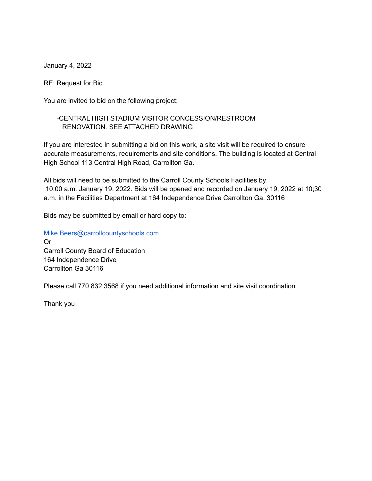January 4, 2022

RE: Request for Bid

You are invited to bid on the following project;

## -CENTRAL HIGH STADIUM VISITOR CONCESSION/RESTROOM RENOVATION. SEE ATTACHED DRAWING

If you are interested in submitting a bid on this work, a site visit will be required to ensure accurate measurements, requirements and site conditions. The building is located at Central High School 113 Central High Road, Carrollton Ga.

All bids will need to be submitted to the Carroll County Schools Facilities by 10:00 a.m. January 19, 2022. Bids will be opened and recorded on January 19, 2022 at 10;30 a.m. in the Facilities Department at 164 Independence Drive Carrollton Ga. 30116

Bids may be submitted by email or hard copy to:

[Mike.Beers@carrollcountyschools.com](mailto:Mike.Beers@carrollcountyschools.com) Or Carroll County Board of Education 164 Independence Drive Carrollton Ga 30116

Please call 770 832 3568 if you need additional information and site visit coordination

Thank you